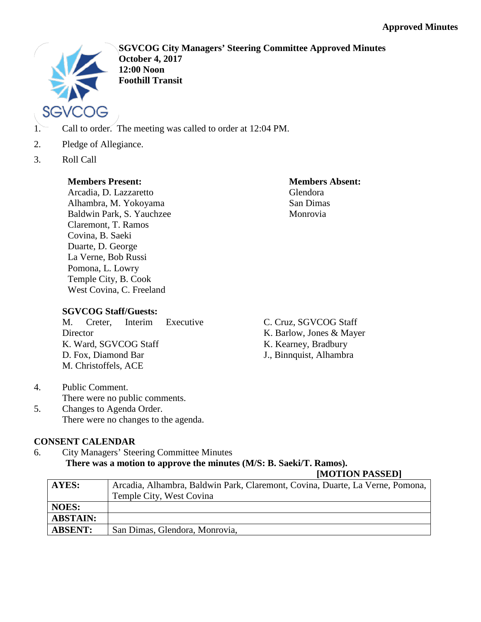

**SGVCOG City Managers' Steering Committee Approved Minutes October 4, 2017 12:00 Noon Foothill Transit**

- 1. Call to order. The meeting was called to order at 12:04 PM.
- 2. Pledge of Allegiance.
- 3. Roll Call

# **Members Present:**

Arcadia, D. Lazzaretto Alhambra, M. Yokoyama Baldwin Park, S. Yauchzee Claremont, T. Ramos Covina, B. Saeki Duarte, D. George La Verne, Bob Russi Pomona, L. Lowry Temple City, B. Cook West Covina, C. Freeland

# **Members Absent:** Glendora San Dimas Monrovia

# **SGVCOG Staff/Guests:**

M. Creter, Interim Executive Director K. Ward, SGVCOG Staff D. Fox, Diamond Bar M. Christoffels, ACE

- C. Cruz, SGVCOG Staff
- K. Barlow, Jones & Mayer
- K. Kearney, Bradbury
- J., Binnquist, Alhambra

- 4. Public Comment. There were no public comments.
- 5. Changes to Agenda Order. There were no changes to the agenda.

# **CONSENT CALENDAR**

6. City Managers' Steering Committee Minutes **There was a motion to approve the minutes (M/S: B. Saeki/T. Ramos).**

| AYES:           | Arcadia, Alhambra, Baldwin Park, Claremont, Covina, Duarte, La Verne, Pomona, |
|-----------------|-------------------------------------------------------------------------------|
|                 | Temple City, West Covina                                                      |
| <b>NOES:</b>    |                                                                               |
| <b>ABSTAIN:</b> |                                                                               |
| <b>ABSENT:</b>  | San Dimas, Glendora, Monrovia,                                                |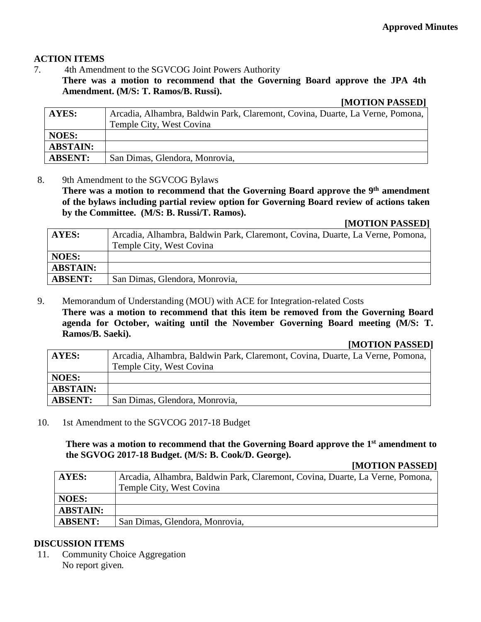# **ACTION ITEMS**

7. 4th Amendment to the SGVCOG Joint Powers Authority

**There was a motion to recommend that the Governing Board approve the JPA 4th Amendment. (M/S: T. Ramos/B. Russi).**

### **[MOTION PASSED]**

| <b>AYES:</b>    | Arcadia, Alhambra, Baldwin Park, Claremont, Covina, Duarte, La Verne, Pomona,<br>Temple City, West Covina |
|-----------------|-----------------------------------------------------------------------------------------------------------|
|                 |                                                                                                           |
| <b>NOES:</b>    |                                                                                                           |
| <b>ABSTAIN:</b> |                                                                                                           |
| <b>ABSENT:</b>  | San Dimas, Glendora, Monrovia,                                                                            |

8. 9th Amendment to the SGVCOG Bylaws

There was a motion to recommend that the Governing Board approve the 9<sup>th</sup> amendment **of the bylaws including partial review option for Governing Board review of actions taken by the Committee. (M/S: B. Russi/T. Ramos).**

### **[MOTION PASSED]**

| AYES:           | Arcadia, Alhambra, Baldwin Park, Claremont, Covina, Duarte, La Verne, Pomona, |
|-----------------|-------------------------------------------------------------------------------|
|                 | Temple City, West Covina                                                      |
| <b>NOES:</b>    |                                                                               |
| <b>ABSTAIN:</b> |                                                                               |
| <b>ABSENT:</b>  | San Dimas, Glendora, Monrovia,                                                |

9. Memorandum of Understanding (MOU) with ACE for Integration-related Costs **There was a motion to recommend that this item be removed from the Governing Board agenda for October, waiting until the November Governing Board meeting (M/S: T. Ramos/B. Saeki).**

#### **[MOTION PASSED]**

| <b>AYES:</b>    | Arcadia, Alhambra, Baldwin Park, Claremont, Covina, Duarte, La Verne, Pomona, |
|-----------------|-------------------------------------------------------------------------------|
|                 | Temple City, West Covina                                                      |
| <b>NOES:</b>    |                                                                               |
| <b>ABSTAIN:</b> |                                                                               |
| <b>ABSENT:</b>  | San Dimas, Glendora, Monrovia,                                                |

10. 1st Amendment to the SGVCOG 2017-18 Budget

**There was a motion to recommend that the Governing Board approve the 1st amendment to the SGVOG 2017-18 Budget. (M/S: B. Cook/D. George).**

#### **[MOTION PASSED]**

| AYES:           | Arcadia, Alhambra, Baldwin Park, Claremont, Covina, Duarte, La Verne, Pomona, |
|-----------------|-------------------------------------------------------------------------------|
|                 | Temple City, West Covina                                                      |
| <b>NOES:</b>    |                                                                               |
| <b>ABSTAIN:</b> |                                                                               |
| <b>ABSENT:</b>  | San Dimas, Glendora, Monrovia,                                                |

### **DISCUSSION ITEMS**

11. Community Choice Aggregation No report given*.*